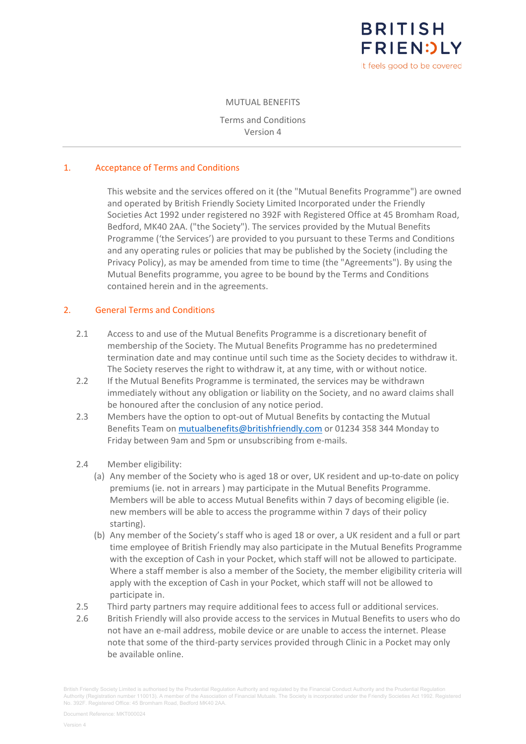

MUTUAL BENEFITS

Terms and Conditions Version 4

# 1. Acceptance of Terms and Conditions

This website and the services offered on it (the "Mutual Benefits Programme") are owned and operated by British Friendly Society Limited Incorporated under the Friendly Societies Act 1992 under registered no 392F with Registered Office at 45 Bromham Road, Bedford, MK40 2AA. ("the Society"). The services provided by the Mutual Benefits Programme ('the Services') are provided to you pursuant to these Terms and Conditions and any operating rules or policies that may be published by the Society (including the Privacy Policy), as may be amended from time to time (the "Agreements"). By using the Mutual Benefits programme, you agree to be bound by the Terms and Conditions contained herein and in the agreements.

### 2. General Terms and Conditions

- 2.1 Access to and use of the Mutual Benefits Programme is a discretionary benefit of membership of the Society. The Mutual Benefits Programme has no predetermined termination date and may continue until such time as the Society decides to withdraw it. The Society reserves the right to withdraw it, at any time, with or without notice.
- 2.2 If the Mutual Benefits Programme is terminated, the services may be withdrawn immediately without any obligation or liability on the Society, and no award claims shall be honoured after the conclusion of any notice period.
- 2.3 Members have the option to opt-out of Mutual Benefits by contacting the Mutual Benefits Team on [mutualbenefits@britishfriendly.com](mailto:mutualbenefits@britishfriendly.com) or 01234 358 344 Monday to Friday between 9am and 5pm or unsubscribing from e-mails.
- 2.4 Member eligibility:
	- (a) Any member of the Society who is aged 18 or over, UK resident and up-to-date on policy premiums (ie. not in arrears ) may participate in the Mutual Benefits Programme. Members will be able to access Mutual Benefits within 7 days of becoming eligible (ie. new members will be able to access the programme within 7 days of their policy starting).
	- (b) Any member of the Society's staff who is aged 18 or over, a UK resident and a full or part time employee of British Friendly may also participate in the Mutual Benefits Programme with the exception of Cash in your Pocket, which staff will not be allowed to participate. Where a staff member is also a member of the Society, the member eligibility criteria will apply with the exception of Cash in your Pocket, which staff will not be allowed to participate in.
- 2.5 Third party partners may require additional fees to access full or additional services.
- 2.6 British Friendly will also provide access to the services in Mutual Benefits to users who do not have an e-mail address, mobile device or are unable to access the internet. Please note that some of the third-party services provided through Clinic in a Pocket may only be available online.

British Friendly Society Limited is authorised by the Prudential Regulation Authority and regulated by the Financial Conduct Authority and the Prudential Regulation Authority (Registration number 110013). A member of the Association of Financial Mutuals. The Society is incorporated under the Friendly Societies Act 1992. Registered No. 392F. Registered Office: 45 Bromham Road, Bedford MK40 2AA.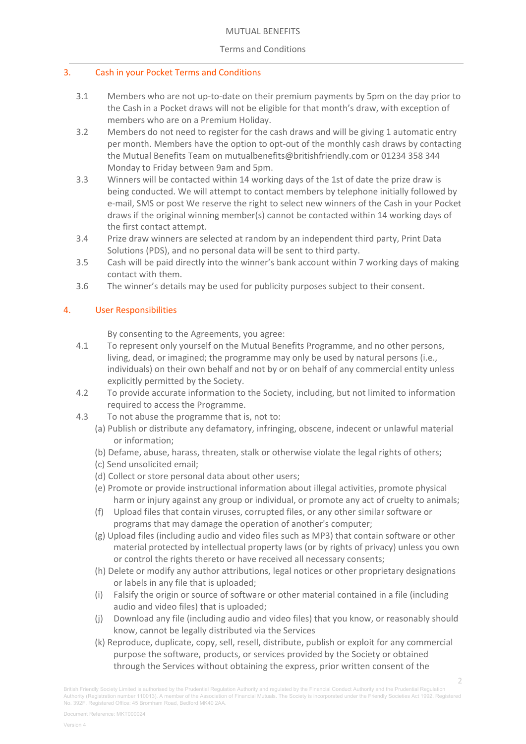# Terms and Conditions

# 3. Cash in your Pocket Terms and Conditions

- 3.1 Members who are not up-to-date on their premium payments by 5pm on the day prior to the Cash in a Pocket draws will not be eligible for that month's draw, with exception of members who are on a Premium Holiday.
- 3.2 Members do not need to register for the cash draws and will be giving 1 automatic entry per month. Members have the option to opt-out of the monthly cash draws by contacting the Mutual Benefits Team on [mutualbenefits@britishfriendly.com](mailto:mutualbenefits@britishfriendly.com) or 01234 358 344 Monday to Friday between 9am and 5pm.
- 3.3 Winners will be contacted within 14 working days of the 1st of date the prize draw is being conducted. We will attempt to contact members by telephone initially followed by e-mail, SMS or post We reserve the right to select new winners of the Cash in your Pocket draws if the original winning member(s) cannot be contacted within 14 working days of the first contact attempt.
- 3.4 Prize draw winners are selected at random by an independent third party, Print Data Solutions (PDS), and no personal data will be sent to third party.
- 3.5 Cash will be paid directly into the winner's bank account within 7 working days of making contact with them.
- 3.6 The winner's details may be used for publicity purposes subject to their consent.

# 4. User Responsibilities

By consenting to the Agreements, you agree:

- 4.1 To represent only yourself on the Mutual Benefits Programme, and no other persons, living, dead, or imagined; the programme may only be used by natural persons (i.e., individuals) on their own behalf and not by or on behalf of any commercial entity unless explicitly permitted by the Society.
- 4.2 To provide accurate information to the Society, including, but not limited to information required to access the Programme.
- 4.3 To not abuse the programme that is, not to:
	- (a) Publish or distribute any defamatory, infringing, obscene, indecent or unlawful material or information;
	- (b) Defame, abuse, harass, threaten, stalk or otherwise violate the legal rights of others;
	- (c) Send unsolicited email;
	- (d) Collect or store personal data about other users;
	- (e) Promote or provide instructional information about illegal activities, promote physical harm or injury against any group or individual, or promote any act of cruelty to animals;
	- (f) Upload files that contain viruses, corrupted files, or any other similar software or programs that may damage the operation of another's computer;
	- (g) Upload files (including audio and video files such as MP3) that contain software or other material protected by intellectual property laws (or by rights of privacy) unless you own or control the rights thereto or have received all necessary consents;
	- (h) Delete or modify any author attributions, legal notices or other proprietary designations or labels in any file that is uploaded;
	- (i) Falsify the origin or source of software or other material contained in a file (including audio and video files) that is uploaded;
	- (j) Download any file (including audio and video files) that you know, or reasonably should know, cannot be legally distributed via the Services
	- (k) Reproduce, duplicate, copy, sell, resell, distribute, publish or exploit for any commercial purpose the software, products, or services provided by the Society or obtained through the Services without obtaining the express, prior written consent of the

2

British Friendly Society Limited is authorised by the Prudential Regulation Authority and regulated by the Financial Conduct Authority and the Prudential Regulation Authority (Registration number 110013). A member of the Association of Financial Mutuals. The Society is incorporated under the Friendly Societies Act 1992. Registered No. 392F. Registered Office: 45 Bromham Road, Bedford MK40 2AA.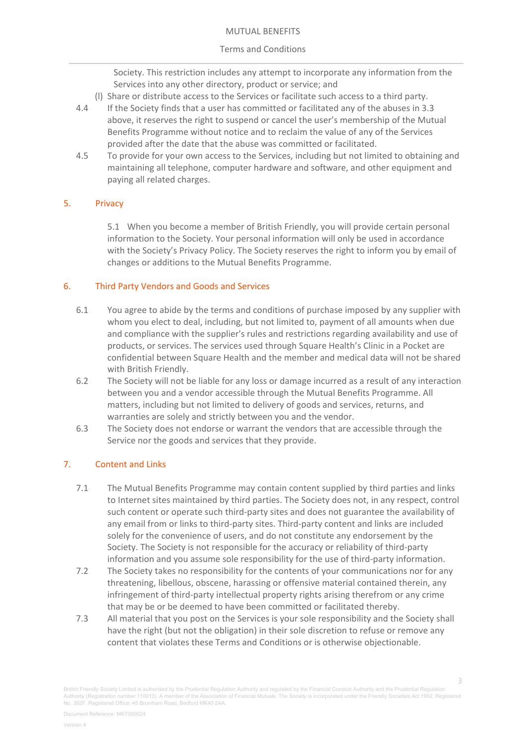#### MUTUAL BENEFITS

## Terms and Conditions

Society. This restriction includes any attempt to incorporate any information from the Services into any other directory, product or service; and

- (l) Share or distribute access to the Services or facilitate such access to a third party.
- 4.4 If the Society finds that a user has committed or facilitated any of the abuses in 3.3 above, it reserves the right to suspend or cancel the user's membership of the Mutual Benefits Programme without notice and to reclaim the value of any of the Services provided after the date that the abuse was committed or facilitated.
- 4.5 To provide for your own access to the Services, including but not limited to obtaining and maintaining all telephone, computer hardware and software, and other equipment and paying all related charges.

# 5. Privacy

5.1 When you become a member of British Friendly, you will provide certain personal information to the Society. Your personal information will only be used in accordance with the Society's Privacy Policy. The Society reserves the right to inform you by email of changes or additions to the Mutual Benefits Programme.

# 6. Third Party Vendors and Goods and Services

- 6.1 You agree to abide by the terms and conditions of purchase imposed by any supplier with whom you elect to deal, including, but not limited to, payment of all amounts when due and compliance with the supplier's rules and restrictions regarding availability and use of products, or services. The services used through Square Health's Clinic in a Pocket are confidential between Square Health and the member and medical data will not be shared with British Friendly.
- 6.2 The Society will not be liable for any loss or damage incurred as a result of any interaction between you and a vendor accessible through the Mutual Benefits Programme. All matters, including but not limited to delivery of goods and services, returns, and warranties are solely and strictly between you and the vendor.
- 6.3 The Society does not endorse or warrant the vendors that are accessible through the Service nor the goods and services that they provide.

# 7. Content and Links

- 7.1 The Mutual Benefits Programme may contain content supplied by third parties and links to Internet sites maintained by third parties. The Society does not, in any respect, control such content or operate such third-party sites and does not guarantee the availability of any email from or links to third-party sites. Third-party content and links are included solely for the convenience of users, and do not constitute any endorsement by the Society. The Society is not responsible for the accuracy or reliability of third-party information and you assume sole responsibility for the use of third-party information.
- 7.2 The Society takes no responsibility for the contents of your communications nor for any threatening, libellous, obscene, harassing or offensive material contained therein, any infringement of third-party intellectual property rights arising therefrom or any crime that may be or be deemed to have been committed or facilitated thereby.
- 7.3 All material that you post on the Services is your sole responsibility and the Society shall have the right (but not the obligation) in their sole discretion to refuse or remove any content that violates these Terms and Conditions or is otherwise objectionable.

British Friendly Society Limited is authorised by the Prudential Regulation Authority and regulated by the Financial Conduct Authority and the Prudential Regulation Authority (Registration number 110013). A member of the Association of Financial Mutuals. The Society is incorporated under the Friendly Societies Act 1992. Registered No. 392F. Registered Office: 45 Bromham Road, Bedford MK40 2AA.

3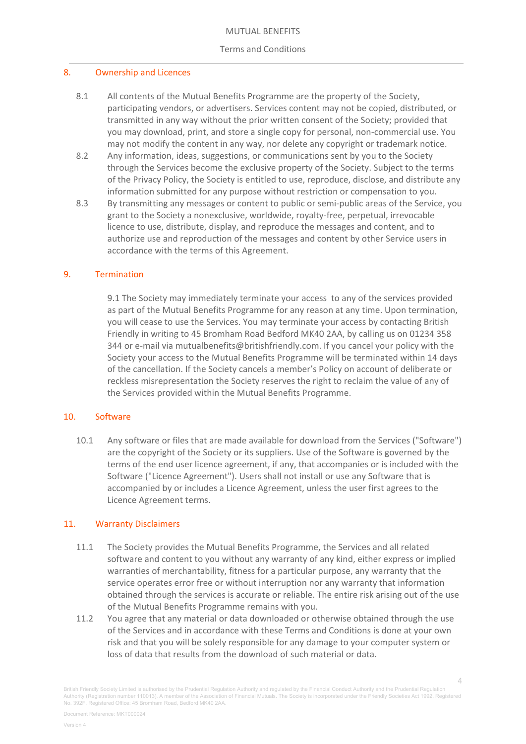## Terms and Conditions

## 8. Ownership and Licences

- 8.1 All contents of the Mutual Benefits Programme are the property of the Society, participating vendors, or advertisers. Services content may not be copied, distributed, or transmitted in any way without the prior written consent of the Society; provided that you may download, print, and store a single copy for personal, non-commercial use. You may not modify the content in any way, nor delete any copyright or trademark notice.
- 8.2 Any information, ideas, suggestions, or communications sent by you to the Society through the Services become the exclusive property of the Society. Subject to the terms of the Privacy Policy, the Society is entitled to use, reproduce, disclose, and distribute any information submitted for any purpose without restriction or compensation to you.
- 8.3 By transmitting any messages or content to public or semi-public areas of the Service, you grant to the Society a nonexclusive, worldwide, royalty-free, perpetual, irrevocable licence to use, distribute, display, and reproduce the messages and content, and to authorize use and reproduction of the messages and content by other Service users in accordance with the terms of this Agreement.

# 9. Termination

9.1 The Society may immediately terminate your access to any of the services provided as part of the Mutual Benefits Programme for any reason at any time. Upon termination, you will cease to use the Services. You may terminate your access by contacting British Friendly in writing to 45 Bromham Road Bedford MK40 2AA, by calling us on 01234 358 344 or e-mail via mutualbenefits@britishfriendly.com. If you cancel your policy with the Society your access to the Mutual Benefits Programme will be terminated within 14 days of the cancellation. If the Society cancels a member's Policy on account of deliberate or reckless misrepresentation the Society reserves the right to reclaim the value of any of the Services provided within the Mutual Benefits Programme.

### 10. Software

10.1 Any software or files that are made available for download from the Services ("Software") are the copyright of the Society or its suppliers. Use of the Software is governed by the terms of the end user licence agreement, if any, that accompanies or is included with the Software ("Licence Agreement"). Users shall not install or use any Software that is accompanied by or includes a Licence Agreement, unless the user first agrees to the Licence Agreement terms.

### 11. Warranty Disclaimers

- 11.1 The Society provides the Mutual Benefits Programme, the Services and all related software and content to you without any warranty of any kind, either express or implied warranties of merchantability, fitness for a particular purpose, any warranty that the service operates error free or without interruption nor any warranty that information obtained through the services is accurate or reliable. The entire risk arising out of the use of the Mutual Benefits Programme remains with you.
- 11.2 You agree that any material or data downloaded or otherwise obtained through the use of the Services and in accordance with these Terms and Conditions is done at your own risk and that you will be solely responsible for any damage to your computer system or loss of data that results from the download of such material or data.

British Friendly Society Limited is authorised by the Prudential Regulation Authority and regulated by the Financial Conduct Authority and the Prudential Regulation Authority (Registration number 110013). A member of the Association of Financial Mutuals. The Society is incorporated under the Friendly Societies Act 1992. Registered No. 392F. Registered Office: 45 Bromham Road, Bedford MK40 2AA.

4